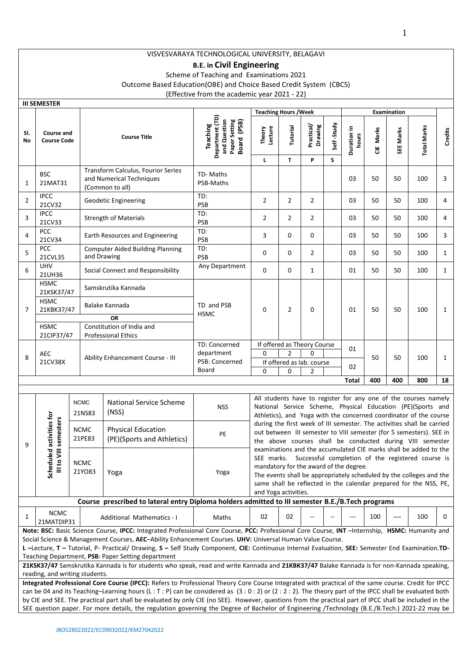# **B.E. in Civil Engineering**

Scheme of Teaching and Examinations 2021

Outcome Based Education(OBE) and Choice Based Credit System (CBCS)

(Effective from the academic year 2021 - 22)

|                | <b>III SEMESTER</b>                                                                                                                                                                                                                                                                                                                                                                                                                                                                                                                                                                                             |                       |                                                                                                                                                                                              |                                                                                                                                                                                                                                                                                                             |                                                                             |                                                                                                                                                                                                                                                                                                                                                                                                                   |                          |                            |                 |                      |           |             |                    |              |  |
|----------------|-----------------------------------------------------------------------------------------------------------------------------------------------------------------------------------------------------------------------------------------------------------------------------------------------------------------------------------------------------------------------------------------------------------------------------------------------------------------------------------------------------------------------------------------------------------------------------------------------------------------|-----------------------|----------------------------------------------------------------------------------------------------------------------------------------------------------------------------------------------|-------------------------------------------------------------------------------------------------------------------------------------------------------------------------------------------------------------------------------------------------------------------------------------------------------------|-----------------------------------------------------------------------------|-------------------------------------------------------------------------------------------------------------------------------------------------------------------------------------------------------------------------------------------------------------------------------------------------------------------------------------------------------------------------------------------------------------------|--------------------------|----------------------------|-----------------|----------------------|-----------|-------------|--------------------|--------------|--|
|                |                                                                                                                                                                                                                                                                                                                                                                                                                                                                                                                                                                                                                 |                       |                                                                                                                                                                                              |                                                                                                                                                                                                                                                                                                             |                                                                             | <b>Teaching Hours / Week</b>                                                                                                                                                                                                                                                                                                                                                                                      |                          |                            |                 |                      |           | Examination |                    |              |  |
| SI.<br>No      | <b>Course and</b><br><b>Course Code</b>                                                                                                                                                                                                                                                                                                                                                                                                                                                                                                                                                                         |                       |                                                                                                                                                                                              | <b>Course Title</b>                                                                                                                                                                                                                                                                                         | Department (TD)<br>Paper Setting<br>and Question<br>Board (PSB)<br>Teaching | Theory<br>Lecture<br>L.                                                                                                                                                                                                                                                                                                                                                                                           | Tutorial<br>$\mathbf{T}$ | Practical/<br>Drawing<br>P | Self-Study<br>S | Duration in<br>hours | CIE Marks | SEE Marks   | <b>Total Marks</b> | Credits      |  |
| 1              | <b>BSC</b><br>21MAT31                                                                                                                                                                                                                                                                                                                                                                                                                                                                                                                                                                                           |                       |                                                                                                                                                                                              | Transform Calculus, Fourior Series<br>and Numerical Techniques<br>(Common to all)                                                                                                                                                                                                                           | TD- Maths<br>PSB-Maths                                                      |                                                                                                                                                                                                                                                                                                                                                                                                                   |                          |                            |                 | 03                   | 50        | 50          | 100                | 3            |  |
| $\overline{2}$ | <b>IPCC</b><br>21CV32                                                                                                                                                                                                                                                                                                                                                                                                                                                                                                                                                                                           |                       |                                                                                                                                                                                              | <b>Geodetic Engineering</b>                                                                                                                                                                                                                                                                                 | TD:<br><b>PSB</b>                                                           | $\overline{2}$                                                                                                                                                                                                                                                                                                                                                                                                    | $\overline{2}$           | $\overline{2}$             |                 | 03                   | 50        | 50          | 100                | 4            |  |
| 3              | <b>IPCC</b><br>21CV33                                                                                                                                                                                                                                                                                                                                                                                                                                                                                                                                                                                           |                       | <b>Strength of Materials</b>                                                                                                                                                                 |                                                                                                                                                                                                                                                                                                             | TD:<br><b>PSB</b>                                                           | $\overline{2}$                                                                                                                                                                                                                                                                                                                                                                                                    | 2                        | $\overline{2}$             |                 | 03                   | 50        | 50          | 100                | 4            |  |
| 4              | <b>PCC</b><br>21CV34                                                                                                                                                                                                                                                                                                                                                                                                                                                                                                                                                                                            |                       |                                                                                                                                                                                              | Earth Resources and Engineering                                                                                                                                                                                                                                                                             | TD:<br><b>PSB</b>                                                           | 3                                                                                                                                                                                                                                                                                                                                                                                                                 | 0                        | 0                          |                 | 03                   | 50        | 50          | 100                | 3            |  |
| 5              | PCC<br>21CVL35                                                                                                                                                                                                                                                                                                                                                                                                                                                                                                                                                                                                  |                       |                                                                                                                                                                                              | <b>Computer Aided Building Planning</b><br>and Drawing                                                                                                                                                                                                                                                      | TD:<br><b>PSB</b>                                                           | 0                                                                                                                                                                                                                                                                                                                                                                                                                 | $\mathbf 0$              | $\overline{2}$             |                 | 03                   | 50        | 50          | 100                | $\mathbf{1}$ |  |
| 6              | <b>UHV</b><br>21UH36                                                                                                                                                                                                                                                                                                                                                                                                                                                                                                                                                                                            |                       |                                                                                                                                                                                              | Social Connect and Responsibility                                                                                                                                                                                                                                                                           | Any Department                                                              | 0                                                                                                                                                                                                                                                                                                                                                                                                                 | 0                        | $\mathbf{1}$               |                 | 01                   | 50        | 50          | 100                | $\mathbf{1}$ |  |
| $\overline{7}$ | <b>HSMC</b><br>21KSK37/47<br><b>HSMC</b><br>21KBK37/47<br><b>HSMC</b>                                                                                                                                                                                                                                                                                                                                                                                                                                                                                                                                           |                       |                                                                                                                                                                                              | Samskrutika Kannada<br>Balake Kannada<br><b>OR</b><br>Constitution of India and                                                                                                                                                                                                                             | TD and PSB<br><b>HSMC</b>                                                   | 0                                                                                                                                                                                                                                                                                                                                                                                                                 | $\overline{2}$           | 0                          |                 | 01                   | 50        | 50          | 100                | $\mathbf{1}$ |  |
|                | 21CIP37/47                                                                                                                                                                                                                                                                                                                                                                                                                                                                                                                                                                                                      |                       |                                                                                                                                                                                              | <b>Professional Ethics</b>                                                                                                                                                                                                                                                                                  |                                                                             |                                                                                                                                                                                                                                                                                                                                                                                                                   |                          |                            |                 |                      |           |             |                    |              |  |
| 8              | <b>AEC</b><br>21CV38X                                                                                                                                                                                                                                                                                                                                                                                                                                                                                                                                                                                           |                       | TD: Concerned<br>If offered as Theory Course<br>01<br>department<br>$\Omega$<br>$\overline{2}$<br>0<br>Ability Enhancement Course - III<br>PSB: Concerned<br>If offered as lab. course<br>02 |                                                                                                                                                                                                                                                                                                             |                                                                             |                                                                                                                                                                                                                                                                                                                                                                                                                   | 50                       | 50                         | 100             | $\mathbf{1}$         |           |             |                    |              |  |
|                |                                                                                                                                                                                                                                                                                                                                                                                                                                                                                                                                                                                                                 |                       |                                                                                                                                                                                              |                                                                                                                                                                                                                                                                                                             | Board                                                                       | 0<br>0<br>2<br>400<br>800<br>Total<br>400                                                                                                                                                                                                                                                                                                                                                                         |                          |                            |                 |                      | 18        |             |                    |              |  |
|                |                                                                                                                                                                                                                                                                                                                                                                                                                                                                                                                                                                                                                 |                       |                                                                                                                                                                                              |                                                                                                                                                                                                                                                                                                             |                                                                             |                                                                                                                                                                                                                                                                                                                                                                                                                   |                          |                            |                 |                      |           |             |                    |              |  |
|                |                                                                                                                                                                                                                                                                                                                                                                                                                                                                                                                                                                                                                 | <b>NCMC</b><br>21NS83 |                                                                                                                                                                                              | National Service Scheme<br>(NSS)                                                                                                                                                                                                                                                                            | <b>NSS</b>                                                                  | All students have to register for any one of the courses namely<br>National Service Scheme, Physical Education (PE)(Sports and<br>Athletics), and Yoga with the concerned coordinator of the course<br>during the first week of III semester. The activities shall be carried<br>out between III semester to VIII semester (for 5 semesters). SEE in<br>the above courses shall be conducted during VIII semester |                          |                            |                 |                      |           |             |                    |              |  |
| 9              | activities for<br>semesters                                                                                                                                                                                                                                                                                                                                                                                                                                                                                                                                                                                     | <b>NCMC</b><br>21PE83 |                                                                                                                                                                                              | <b>Physical Education</b><br>(PE)(Sports and Athletics)                                                                                                                                                                                                                                                     | PE                                                                          |                                                                                                                                                                                                                                                                                                                                                                                                                   |                          |                            |                 |                      |           |             |                    |              |  |
|                | Scheduled<br>Ill to VIII                                                                                                                                                                                                                                                                                                                                                                                                                                                                                                                                                                                        | <b>NCMC</b><br>21YO83 |                                                                                                                                                                                              | Yoga                                                                                                                                                                                                                                                                                                        | Yoga                                                                        | examinations and the accumulated CIE marks shall be added to the<br>SEE marks. Successful completion of the registered course is<br>mandatory for the award of the degree.<br>The events shall be appropriately scheduled by the colleges and the<br>same shall be reflected in the calendar prepared for the NSS, PE,<br>and Yoga activities.                                                                    |                          |                            |                 |                      |           |             |                    |              |  |
|                |                                                                                                                                                                                                                                                                                                                                                                                                                                                                                                                                                                                                                 |                       |                                                                                                                                                                                              | Course prescribed to lateral entry Diploma holders admitted to III semester B.E./B.Tech programs                                                                                                                                                                                                            |                                                                             |                                                                                                                                                                                                                                                                                                                                                                                                                   |                          |                            |                 |                      |           |             |                    |              |  |
| 1              | <b>NCMC</b><br>21MATDIP31                                                                                                                                                                                                                                                                                                                                                                                                                                                                                                                                                                                       |                       |                                                                                                                                                                                              | <b>Additional Mathematics - I</b>                                                                                                                                                                                                                                                                           | Maths                                                                       | 02                                                                                                                                                                                                                                                                                                                                                                                                                | 02                       |                            |                 |                      | 100       | $---$       | 100                | 0            |  |
|                | Note: BSC: Basic Science Course, IPCC: Integrated Professional Core Course, PCC: Professional Core Course, INT -Internship, HSMC: Humanity and<br>Social Science & Management Courses, AEC-Ability Enhancement Courses. UHV: Universal Human Value Course.<br>L-Lecture, T-Tutorial, P- Practical/ Drawing, S-Self Study Component, CIE: Continuous Internal Evaluation, SEE: Semester End Examination.TD-<br>Teaching Department, PSB: Paper Setting department<br>21KSK37/47 Samskrutika Kannada is for students who speak, read and write Kannada and 21KBK37/47 Balake Kannada is for non-Kannada speaking, |                       |                                                                                                                                                                                              |                                                                                                                                                                                                                                                                                                             |                                                                             |                                                                                                                                                                                                                                                                                                                                                                                                                   |                          |                            |                 |                      |           |             |                    |              |  |
|                | reading, and writing students.                                                                                                                                                                                                                                                                                                                                                                                                                                                                                                                                                                                  |                       |                                                                                                                                                                                              |                                                                                                                                                                                                                                                                                                             |                                                                             |                                                                                                                                                                                                                                                                                                                                                                                                                   |                          |                            |                 |                      |           |             |                    |              |  |
|                |                                                                                                                                                                                                                                                                                                                                                                                                                                                                                                                                                                                                                 |                       |                                                                                                                                                                                              | Integrated Professional Core Course (IPCC): Refers to Professional Theory Core Course Integrated with practical of the same course. Credit for IPCC<br>can be 04 and its Teaching-Learning hours (L: T: P) can be considered as (3: 0: 2) or (2: 2: 2). The theory part of the IPCC shall be evaluated both |                                                                             |                                                                                                                                                                                                                                                                                                                                                                                                                   |                          |                            |                 |                      |           |             |                    |              |  |
|                |                                                                                                                                                                                                                                                                                                                                                                                                                                                                                                                                                                                                                 |                       |                                                                                                                                                                                              | by CIE and SEE. The practical part shall be evaluated by only CIE (no SEE). However, questions from the practical part of IPCC shall be included in the                                                                                                                                                     |                                                                             |                                                                                                                                                                                                                                                                                                                                                                                                                   |                          |                            |                 |                      |           |             |                    |              |  |
|                |                                                                                                                                                                                                                                                                                                                                                                                                                                                                                                                                                                                                                 |                       |                                                                                                                                                                                              | SEE question paper. For more details, the regulation governing the Degree of Bachelor of Engineering /Technology (B.E./B.Tech.) 2021-22 may be                                                                                                                                                              |                                                                             |                                                                                                                                                                                                                                                                                                                                                                                                                   |                          |                            |                 |                      |           |             |                    |              |  |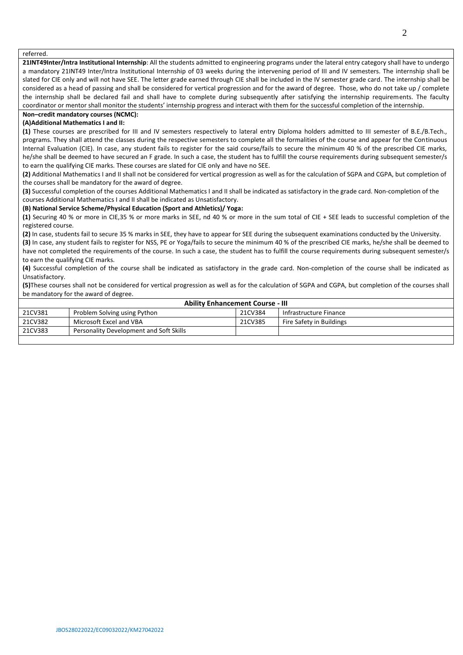referred.

**21INT49Inter/Intra Institutional Internship**: All the students admitted to engineering programs under the lateral entry category shall have to undergo a mandatory 21INT49 Inter/Intra Institutional Internship of 03 weeks during the intervening period of III and IV semesters. The internship shall be slated for CIE only and will not have SEE. The letter grade earned through CIE shall be included in the IV semester grade card. The internship shall be considered as a head of passing and shall be considered for vertical progression and for the award of degree. Those, who do not take up / complete the internship shall be declared fail and shall have to complete during subsequently after satisfying the internship requirements. The faculty coordinator or mentor shall monitor the students' internship progress and interact with them for the successful completion of the internship.

# **Non–credit mandatory courses (NCMC):**

### **(A)Additional Mathematics I and II:**

**(1)** These courses are prescribed for III and IV semesters respectively to lateral entry Diploma holders admitted to III semester of B.E./B.Tech., programs. They shall attend the classes during the respective semesters to complete all the formalities of the course and appear for the Continuous Internal Evaluation (CIE). In case, any student fails to register for the said course/fails to secure the minimum 40 % of the prescribed CIE marks, he/she shall be deemed to have secured an F grade. In such a case, the student has to fulfill the course requirements during subsequent semester/s to earn the qualifying CIE marks. These courses are slated for CIE only and have no SEE.

**(2)** Additional Mathematics I and II shall not be considered for vertical progression as well as for the calculation of SGPA and CGPA, but completion of the courses shall be mandatory for the award of degree.

**(3)** Successful completion of the courses Additional Mathematics I and II shall be indicated as satisfactory in the grade card. Non-completion of the courses Additional Mathematics I and II shall be indicated as Unsatisfactory.

#### **(B) National Service Scheme/Physical Education (Sport and Athletics)/ Yoga:**

**(1)** Securing 40 % or more in CIE,35 % or more marks in SEE, nd 40 % or more in the sum total of CIE + SEE leads to successful completion of the registered course.

**(2)** In case, students fail to secure 35 % marks in SEE, they have to appear for SEE during the subsequent examinations conducted by the University.

**(3)** In case, any student fails to register for NSS, PE or Yoga/fails to secure the minimum 40 % of the prescribed CIE marks, he/she shall be deemed to have not completed the requirements of the course. In such a case, the student has to fulfill the course requirements during subsequent semester/s to earn the qualifying CIE marks.

**(4)** Successful completion of the course shall be indicated as satisfactory in the grade card. Non-completion of the course shall be indicated as Unsatisfactory.

**(5)**These courses shall not be considered for vertical progression as well as for the calculation of SGPA and CGPA, but completion of the courses shall be mandatory for the award of degree.

|         | <b>Ability Enhancement Course - III</b> |         |                          |  |  |  |  |  |  |  |
|---------|-----------------------------------------|---------|--------------------------|--|--|--|--|--|--|--|
| 21CV381 | Problem Solving using Python            | 21CV384 | Infrastructure Finance   |  |  |  |  |  |  |  |
| 21CV382 | Microsoft Excel and VBA                 | 21CV385 | Fire Safety in Buildings |  |  |  |  |  |  |  |
| 21CV383 | Personality Development and Soft Skills |         |                          |  |  |  |  |  |  |  |
|         |                                         |         |                          |  |  |  |  |  |  |  |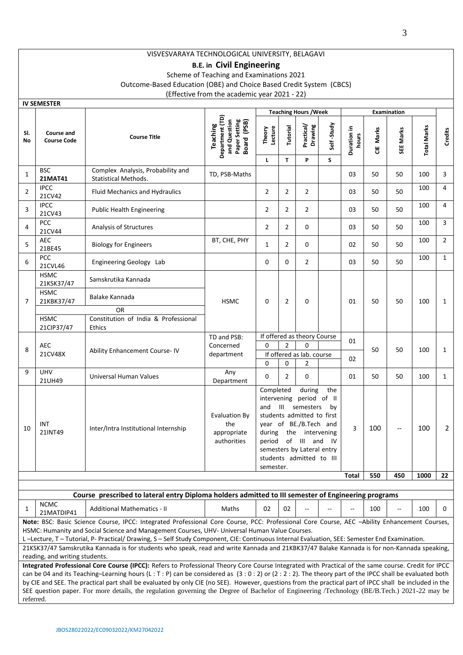# **B.E. in Civil Engineering**

Scheme of Teaching and Examinations 2021

Outcome-Based Education (OBE) and Choice Based Credit System (CBCS)

(Effective from the academic year 2021 - 22)

|                | <b>IV SEMESTER</b>                                                                                                                                                                                                                                                                                                                                                                                                                                                                                                                                                                                                                                                                                                                                                                                  |                                                                                                                                                                                                                                                                                                                                                                                          |                                                                                |                                                                                                                                                                                                                                                                                 |                     |                                                                           |            |                      |            |                          |                    |                |
|----------------|-----------------------------------------------------------------------------------------------------------------------------------------------------------------------------------------------------------------------------------------------------------------------------------------------------------------------------------------------------------------------------------------------------------------------------------------------------------------------------------------------------------------------------------------------------------------------------------------------------------------------------------------------------------------------------------------------------------------------------------------------------------------------------------------------------|------------------------------------------------------------------------------------------------------------------------------------------------------------------------------------------------------------------------------------------------------------------------------------------------------------------------------------------------------------------------------------------|--------------------------------------------------------------------------------|---------------------------------------------------------------------------------------------------------------------------------------------------------------------------------------------------------------------------------------------------------------------------------|---------------------|---------------------------------------------------------------------------|------------|----------------------|------------|--------------------------|--------------------|----------------|
|                |                                                                                                                                                                                                                                                                                                                                                                                                                                                                                                                                                                                                                                                                                                                                                                                                     |                                                                                                                                                                                                                                                                                                                                                                                          |                                                                                |                                                                                                                                                                                                                                                                                 |                     | <b>Teaching Hours / Week</b>                                              |            |                      |            | <b>Examination</b>       |                    |                |
| SI.<br>No      | Course and<br><b>Course Code</b>                                                                                                                                                                                                                                                                                                                                                                                                                                                                                                                                                                                                                                                                                                                                                                    | <b>Course Title</b>                                                                                                                                                                                                                                                                                                                                                                      | Department (TD)<br>and Question<br>Paper Setting<br>(PSB)<br>Teaching<br>Board | Lecture<br>Theory                                                                                                                                                                                                                                                               | Tutorial            | Practical/<br>Drawing                                                     | Self-Study | Duration in<br>hours | Marks<br>ă | SEE Marks                | <b>Total Marks</b> | Credits        |
| 1              | <b>BSC</b><br>21MAT41                                                                                                                                                                                                                                                                                                                                                                                                                                                                                                                                                                                                                                                                                                                                                                               | Complex Analysis, Probability and<br><b>Statistical Methods.</b>                                                                                                                                                                                                                                                                                                                         | TD, PSB-Maths                                                                  | L                                                                                                                                                                                                                                                                               | T                   | P                                                                         | S.         | 03                   | 50         | 50                       | 100                | 3              |
| $\overline{2}$ | <b>IPCC</b><br>21CV42                                                                                                                                                                                                                                                                                                                                                                                                                                                                                                                                                                                                                                                                                                                                                                               | Fluid Mechanics and Hydraulics                                                                                                                                                                                                                                                                                                                                                           |                                                                                | $\overline{2}$                                                                                                                                                                                                                                                                  | $\overline{2}$      | $\overline{2}$                                                            |            | 03                   | 50         | 50                       | 100                | 4              |
| 3              | <b>IPCC</b><br>21CV43                                                                                                                                                                                                                                                                                                                                                                                                                                                                                                                                                                                                                                                                                                                                                                               | <b>Public Health Engineering</b>                                                                                                                                                                                                                                                                                                                                                         |                                                                                | 2                                                                                                                                                                                                                                                                               | $\overline{2}$      | $\overline{2}$                                                            |            | 03                   | 50         | 50                       | 100                | 4              |
| 4              | <b>PCC</b><br>21CV44                                                                                                                                                                                                                                                                                                                                                                                                                                                                                                                                                                                                                                                                                                                                                                                | Analysis of Structures                                                                                                                                                                                                                                                                                                                                                                   |                                                                                | $\overline{2}$                                                                                                                                                                                                                                                                  | $\overline{2}$      | $\Omega$                                                                  |            | 03                   | 50         | 50                       | 100                | 3              |
| 5              | <b>AEC</b><br>21BE45                                                                                                                                                                                                                                                                                                                                                                                                                                                                                                                                                                                                                                                                                                                                                                                | <b>Biology for Engineers</b>                                                                                                                                                                                                                                                                                                                                                             | BT, CHE, PHY                                                                   | $\mathbf{1}$                                                                                                                                                                                                                                                                    | 2                   | 0                                                                         |            | 02                   | 50         | 50                       | 100                | $\overline{2}$ |
| 6              | <b>PCC</b><br>21CVL46                                                                                                                                                                                                                                                                                                                                                                                                                                                                                                                                                                                                                                                                                                                                                                               | Engineering Geology Lab                                                                                                                                                                                                                                                                                                                                                                  |                                                                                | 0                                                                                                                                                                                                                                                                               | $\Omega$            | $\overline{2}$                                                            |            | 03                   | 50         | 50                       | 100                | $\mathbf{1}$   |
|                | <b>HSMC</b><br>21KSK37/47                                                                                                                                                                                                                                                                                                                                                                                                                                                                                                                                                                                                                                                                                                                                                                           | Samskrutika Kannada                                                                                                                                                                                                                                                                                                                                                                      |                                                                                |                                                                                                                                                                                                                                                                                 |                     |                                                                           |            |                      |            |                          |                    |                |
| $\overline{7}$ | <b>HSMC</b><br>21KBK37/47                                                                                                                                                                                                                                                                                                                                                                                                                                                                                                                                                                                                                                                                                                                                                                           | Balake Kannada                                                                                                                                                                                                                                                                                                                                                                           | <b>HSMC</b>                                                                    | 0                                                                                                                                                                                                                                                                               | $\overline{2}$      | 0                                                                         |            | 01                   | 50         | 50                       | 100                | $\mathbf{1}$   |
|                | <b>HSMC</b>                                                                                                                                                                                                                                                                                                                                                                                                                                                                                                                                                                                                                                                                                                                                                                                         | OR<br>Constitution of India & Professional                                                                                                                                                                                                                                                                                                                                               |                                                                                |                                                                                                                                                                                                                                                                                 |                     |                                                                           |            |                      |            |                          |                    |                |
| 8              | 21CIP37/47<br><b>AEC</b><br>21CV48X                                                                                                                                                                                                                                                                                                                                                                                                                                                                                                                                                                                                                                                                                                                                                                 | <b>Ethics</b><br>Ability Enhancement Course-IV                                                                                                                                                                                                                                                                                                                                           | TD and PSB:<br>Concerned<br>department                                         | 0<br>0                                                                                                                                                                                                                                                                          | $\overline{2}$<br>0 | If offered as theory Course<br>$\Omega$<br>If offered as lab. course<br>2 |            | 01<br>02             | 50         | 50                       | 100                | $\mathbf{1}$   |
| 9              | <b>UHV</b><br>21UH49                                                                                                                                                                                                                                                                                                                                                                                                                                                                                                                                                                                                                                                                                                                                                                                | Universal Human Values                                                                                                                                                                                                                                                                                                                                                                   | Any<br>Department                                                              | 0                                                                                                                                                                                                                                                                               | $\overline{2}$      | $\Omega$                                                                  |            | 01                   | 50         | 50                       | 100                | $\mathbf{1}$   |
| 10             | INT<br>21INT49                                                                                                                                                                                                                                                                                                                                                                                                                                                                                                                                                                                                                                                                                                                                                                                      | Inter/Intra Institutional Internship                                                                                                                                                                                                                                                                                                                                                     | <b>Evaluation By</b><br>the<br>appropriate<br>authorities                      | Completed<br>during<br>the<br>intervening period of II<br>$\mathbf{III}$<br>semesters<br>and<br>by<br>students admitted to first<br>year of BE./B.Tech and<br>during<br>the<br>intervening<br>of III and IV<br>period<br>semesters by Lateral entry<br>students admitted to III |                     |                                                                           |            |                      | 100        | $\overline{\phantom{a}}$ | 100                | $\overline{2}$ |
|                |                                                                                                                                                                                                                                                                                                                                                                                                                                                                                                                                                                                                                                                                                                                                                                                                     |                                                                                                                                                                                                                                                                                                                                                                                          |                                                                                | semester.                                                                                                                                                                                                                                                                       |                     |                                                                           |            | Total                | 550        | 450                      | 1000               | 22             |
|                |                                                                                                                                                                                                                                                                                                                                                                                                                                                                                                                                                                                                                                                                                                                                                                                                     | Course prescribed to lateral entry Diploma holders admitted to III semester of Engineering programs                                                                                                                                                                                                                                                                                      |                                                                                |                                                                                                                                                                                                                                                                                 |                     |                                                                           |            |                      |            |                          |                    |                |
| 1              | <b>NCMC</b><br>21MATDIP41                                                                                                                                                                                                                                                                                                                                                                                                                                                                                                                                                                                                                                                                                                                                                                           | <b>Additional Mathematics - II</b>                                                                                                                                                                                                                                                                                                                                                       | Maths                                                                          | 02                                                                                                                                                                                                                                                                              | 02                  |                                                                           |            |                      | 100        | --                       | 100                | 0              |
|                |                                                                                                                                                                                                                                                                                                                                                                                                                                                                                                                                                                                                                                                                                                                                                                                                     | Note: BSC: Basic Science Course, IPCC: Integrated Professional Core Course, PCC: Professional Core Course, AEC -Ability Enhancement Courses,<br>HSMC: Humanity and Social Science and Management Courses, UHV- Universal Human Value Courses.<br>L-Lecture, T-Tutorial, P-Practical/Drawing, S-Self Study Component, CIE: Continuous Internal Evaluation, SEE: Semester End Examination. |                                                                                |                                                                                                                                                                                                                                                                                 |                     |                                                                           |            |                      |            |                          |                    |                |
|                |                                                                                                                                                                                                                                                                                                                                                                                                                                                                                                                                                                                                                                                                                                                                                                                                     |                                                                                                                                                                                                                                                                                                                                                                                          |                                                                                |                                                                                                                                                                                                                                                                                 |                     |                                                                           |            |                      |            |                          |                    |                |
| referred.      | 21KSK37/47 Samskrutika Kannada is for students who speak, read and write Kannada and 21KBK37/47 Balake Kannada is for non-Kannada speaking,<br>reading, and writing students.<br>Integrated Professional Core Course (IPCC): Refers to Professional Theory Core Course Integrated with Practical of the same course. Credit for IPCC<br>can be 04 and its Teaching-Learning hours (L: T: P) can be considered as (3:0:2) or (2:2:2). The theory part of the IPCC shall be evaluated both<br>by CIE and SEE. The practical part shall be evaluated by only CIE (no SEE). However, questions from the practical part of IPCC shall be included in the<br>SEE question paper. For more details, the regulation governing the Degree of Bachelor of Engineering /Technology (BE/B.Tech.) 2021-22 may be |                                                                                                                                                                                                                                                                                                                                                                                          |                                                                                |                                                                                                                                                                                                                                                                                 |                     |                                                                           |            |                      |            |                          |                    |                |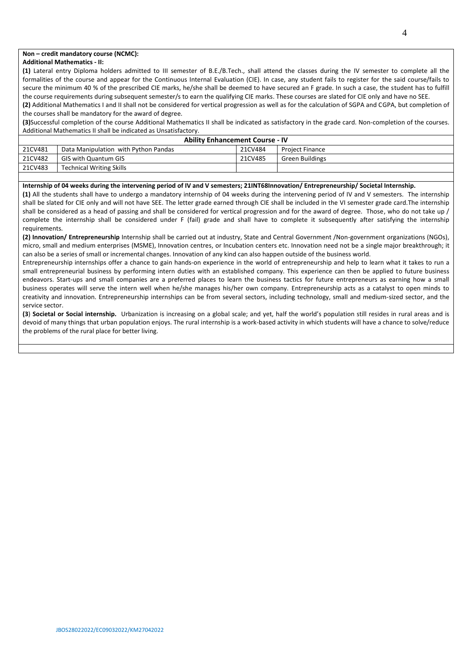### **Non – credit mandatory course (NCMC):**

#### **Additional Mathematics - II:**

**(1)** Lateral entry Diploma holders admitted to III semester of B.E./B.Tech., shall attend the classes during the IV semester to complete all the formalities of the course and appear for the Continuous Internal Evaluation (CIE). In case, any student fails to register for the said course/fails to secure the minimum 40 % of the prescribed CIE marks, he/she shall be deemed to have secured an F grade. In such a case, the student has to fulfill the course requirements during subsequent semester/s to earn the qualifying CIE marks. These courses are slated for CIE only and have no SEE.

**(2)** Additional Mathematics I and II shall not be considered for vertical progression as well as for the calculation of SGPA and CGPA, but completion of the courses shall be mandatory for the award of degree.

**(3)**Successful completion of the course Additional Mathematics II shall be indicated as satisfactory in the grade card. Non-completion of the courses. Additional Mathematics II shall be indicated as Unsatisfactory.

|         | <b>Ability Enhancement Course - IV</b> |         |                        |  |  |  |  |  |  |  |
|---------|----------------------------------------|---------|------------------------|--|--|--|--|--|--|--|
| 21CV481 | Data Manipulation with Python Pandas   | 21CV484 | <b>Project Finance</b> |  |  |  |  |  |  |  |
| 21CV482 | <b>GIS with Quantum GIS</b>            | 21CV485 | Green Buildings        |  |  |  |  |  |  |  |
| 21CV483 | <b>Technical Writing Skills</b>        |         |                        |  |  |  |  |  |  |  |

#### **Internship of 04 weeks during the intervening period of IV and V semesters; 21INT68Innovation/ Entrepreneurship/ Societal Internship.**

**(1)** All the students shall have to undergo a mandatory internship of 04 weeks during the intervening period of IV and V semesters. The internship shall be slated for CIE only and will not have SEE. The letter grade earned through CIE shall be included in the VI semester grade card.The internship shall be considered as a head of passing and shall be considered for vertical progression and for the award of degree. Those, who do not take up / complete the internship shall be considered under F (fail) grade and shall have to complete it subsequently after satisfying the internship requirements.

**(2) Innovation/ Entrepreneurship** Internship shall be carried out at industry, State and Central Government /Non-government organizations (NGOs), micro, small and medium enterprises (MSME), Innovation centres, or Incubation centers etc. Innovation need not be a single major breakthrough; it can also be a series of small or incremental changes. Innovation of any kind can also happen outside of the business world.

Entrepreneurship internships offer a chance to gain hands-on experience in the world of entrepreneurship and help to learn what it takes to run a small entrepreneurial business by performing intern duties with an established company. This experience can then be applied to future business endeavors. Start-ups and small companies are a preferred places to learn the business tactics for future entrepreneurs as earning how a small business operates will serve the intern well when he/she manages his/her own company. Entrepreneurship acts as a catalyst to open minds to creativity and innovation. Entrepreneurship internships can be from several sectors, including technology, small and medium-sized sector, and the service sector.

**(3**) **Societal or Social internship.** Urbanization is increasing on a global scale; and yet, half the world's population still resides in rural areas and is devoid of many things that urban population enjoys. The rural internship is a work-based activity in which students will have a chance to solve/reduce the problems of the rural place for better living.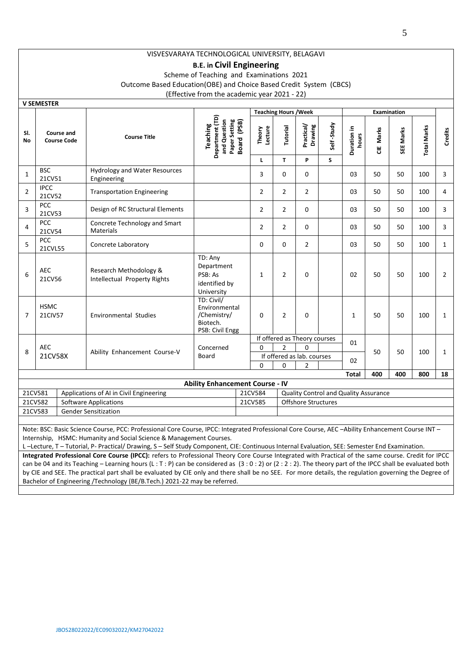## **B.E. in Civil Engineering**

Scheme of Teaching and Examinations 2021

Outcome Based Education(OBE) and Choice Based Credit System (CBCS)

(Effective from the academic year 2021 - 22)

|                | V JEIVIEJTEN                            |                                                                     |                                                                             |                   |                              |                              |              |                                       |              |           |                    |                |
|----------------|-----------------------------------------|---------------------------------------------------------------------|-----------------------------------------------------------------------------|-------------------|------------------------------|------------------------------|--------------|---------------------------------------|--------------|-----------|--------------------|----------------|
|                |                                         |                                                                     |                                                                             |                   | <b>Teaching Hours / Week</b> |                              |              |                                       | Examination  |           |                    |                |
| SI.<br>No      | <b>Course and</b><br><b>Course Code</b> | <b>Course Title</b>                                                 | Department (TD)<br>and Question<br>Paper Setting<br>Board (PSB)<br>Teaching | Theory<br>Lecture | Tutorial                     | Practical/<br>Drawing        | Self-Study   | Duration in<br>hours                  | CIE Marks    | SEE Marks | <b>Total Marks</b> | Credits        |
|                |                                         |                                                                     |                                                                             | L                 | T.                           | P                            | S            |                                       |              |           |                    |                |
| 1              | <b>BSC</b><br>21CV51                    | <b>Hydrology and Water Resources</b><br>Engineering                 |                                                                             | 3                 | 0                            | 0                            |              | 03                                    | 50           | 50        | 100                | 3              |
| 2              | <b>IPCC</b><br>21CV52                   | <b>Transportation Engineering</b>                                   |                                                                             | $\overline{2}$    | $\overline{2}$               | $\overline{2}$               |              | 03                                    | 50           | 50        | 100                | 4              |
| 3              | PCC<br>21CV53                           | Design of RC Structural Elements                                    |                                                                             | $\overline{2}$    | $\overline{2}$               | 0                            |              | 03                                    | 50           | 50        | 100                | 3              |
| 4              | <b>PCC</b><br>21CV54                    | Concrete Technology and Smart<br><b>Materials</b>                   |                                                                             | $\overline{2}$    | $\overline{2}$               | 0                            |              | 03                                    | 50           | 50        | 100                | 3              |
| 5              | PCC<br>21CVL55                          | Concrete Laboratory                                                 |                                                                             | $\Omega$          | $\Omega$                     | $\overline{2}$               |              | 03                                    | 50           | 50        | 100                | $\mathbf{1}$   |
| 6              | <b>AEC</b><br>21CV56                    | Research Methodology &<br>Intellectual Property Rights              | TD: Any<br>Department<br>PSB: As<br>identified by<br>University             | $\mathbf{1}$      | $\overline{2}$               | 0                            |              | 02                                    | 50           | 50        | 100                | $\overline{2}$ |
| $\overline{7}$ | <b>HSMC</b><br><b>21CIV57</b>           | <b>Environmental Studies</b>                                        | TD: Civil/<br>Environmental<br>/Chemistry/<br>Biotech.<br>PSB: Civil Engg   | 0                 | $\overline{2}$<br>0          |                              | $\mathbf{1}$ | 50                                    | 50           | 100       | $\mathbf{1}$       |                |
|                |                                         |                                                                     |                                                                             |                   |                              | If offered as Theory courses |              | 01                                    |              |           |                    |                |
|                | <b>AEC</b>                              |                                                                     | Concerned                                                                   | $\Omega$          | $\overline{2}$               | $\Omega$                     |              |                                       |              | 50        | 100                |                |
| 8              | 21CV58X                                 | Ability Enhancement Course-V<br>Board<br>If offered as lab. courses |                                                                             |                   | 50                           |                              |              |                                       | $\mathbf{1}$ |           |                    |                |
|                |                                         |                                                                     |                                                                             | $\Omega$          | $\Omega$                     | $\overline{2}$               |              | 02                                    |              |           |                    |                |
|                | <b>Total</b><br>400<br>400<br>800<br>18 |                                                                     |                                                                             |                   |                              |                              |              |                                       |              |           |                    |                |
|                |                                         |                                                                     | <b>Ability Enhancement Course - IV</b>                                      |                   |                              |                              |              |                                       |              |           |                    |                |
| 21CV581        |                                         | Applications of AI in Civil Engineering                             |                                                                             | 21CV584           |                              |                              |              | Quality Control and Quality Assurance |              |           |                    |                |
| 21CV582        |                                         | <b>Software Applications</b>                                        |                                                                             | 21CV585           |                              | <b>Offshore Structures</b>   |              |                                       |              |           |                    |                |
| 21CV583        |                                         | <b>Gender Sensitization</b>                                         |                                                                             |                   |                              |                              |              |                                       |              |           |                    |                |
|                |                                         |                                                                     |                                                                             |                   |                              |                              |              |                                       |              |           |                    |                |

Note: BSC: Basic Science Course, PCC: Professional Core Course, IPCC: Integrated Professional Core Course, AEC –Ability Enhancement Course INT – Internship, HSMC: Humanity and Social Science & Management Courses.

L –Lecture, T – Tutorial, P- Practical/ Drawing, S – Self Study Component, CIE: Continuous Internal Evaluation, SEE: Semester End Examination.

**Integrated Professional Core Course (IPCC):** refers to Professional Theory Core Course Integrated with Practical of the same course. Credit for IPCC can be 04 and its Teaching – Learning hours (L : T : P) can be considered as (3 : 0 : 2) or (2 : 2 : 2). The theory part of the IPCC shall be evaluated both by CIE and SEE. The practical part shall be evaluated by CIE only and there shall be no SEE. For more details, the regulation governing the Degree of Bachelor of Engineering /Technology (BE/B.Tech.) 2021-22 may be referred.

**V SEMESTER**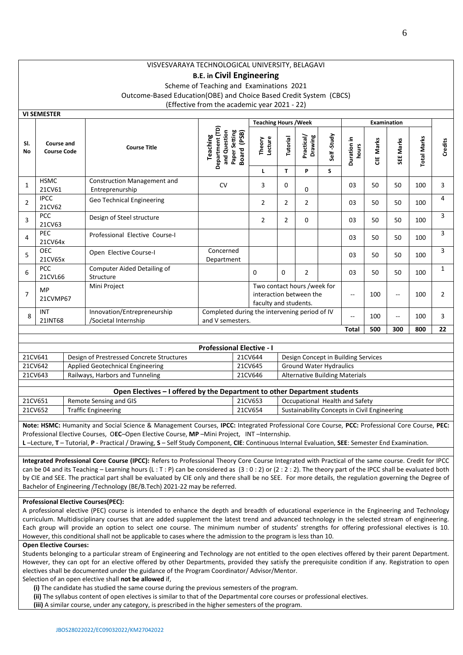# **B.E. in Civil Engineering**

Scheme of Teaching and Examinations 2021 Outcome-Based Education(OBE) and Choice Based Credit System (CBCS) (Effective from the academic year 2021 - 22)

|                | <b>VI SEIVIESTEK</b>             |                                                       |                                                                                          |                              |                |                       |                          |                      |                          |           |                    |                |
|----------------|----------------------------------|-------------------------------------------------------|------------------------------------------------------------------------------------------|------------------------------|----------------|-----------------------|--------------------------|----------------------|--------------------------|-----------|--------------------|----------------|
|                |                                  |                                                       |                                                                                          | <b>Teaching Hours / Week</b> |                |                       |                          |                      |                          |           |                    |                |
| SI.<br>No      | Course and<br><b>Course Code</b> | <b>Course Title</b>                                   | Department (TD)<br>(PSB)<br>and Question<br>Setting<br>Teaching<br><b>Board</b><br>Paper | Lecture<br>Theory            | Tutorial       | Practical/<br>Drawing | Self-Study               | Duration in<br>hours | Marks<br>쁭               | SEE Marks | <b>Total Marks</b> | <b>Credits</b> |
|                |                                  |                                                       |                                                                                          |                              | T.             | P                     | S                        |                      |                          |           |                    |                |
| $\mathbf{1}$   | <b>HSMC</b><br>21CV61            | <b>Construction Management and</b><br>Entreprenurship | <b>CV</b>                                                                                | 3                            | 0              | 0                     |                          | 03                   | 50                       | 50        | 100                | 3              |
| $\overline{2}$ | <b>IPCC</b><br>21CV62            | Geo Technical Engineering                             |                                                                                          | $\overline{2}$               | $\overline{2}$ | $\overline{2}$        |                          | 03                   | 50                       | 50        | 100                | 4              |
| 3              | <b>PCC</b><br>21CV63             | Design of Steel structure                             |                                                                                          | 2                            | $\overline{2}$ | $\Omega$              |                          | 03                   | 50                       | 50        | 100                | 3              |
| 4              | <b>PEC</b><br>21CV64x            | Professional Elective Course-I                        |                                                                                          |                              |                |                       |                          | 03                   | 50                       | 50        | 100                | 3              |
| 5              | <b>OEC</b><br>21CV65x            | Open Elective Course-I                                | Concerned<br>Department                                                                  |                              |                |                       |                          | 03                   | 50                       | 50        | 100                | 3              |
| 6              | <b>PCC</b><br>21CVL66            | Computer Aided Detailing of<br>Structure              |                                                                                          | $\Omega$                     | $\Omega$       | $\overline{2}$        |                          | 03                   | 50                       | 50        | 100                | $\mathbf{1}$   |
| $\overline{7}$ | <b>MP</b><br>21CVMP67            | Mini Project                                          | Two contact hours /week for<br>interaction between the<br>faculty and students.          |                              |                |                       | $\overline{\phantom{a}}$ | 100                  | $\overline{\phantom{a}}$ | 100       | $\overline{2}$     |                |
| $\mathbf{8}$   | INT<br>21INT68                   | Innovation/Entrepreneurship<br>/Societal Internship   | Completed during the intervening period of IV<br>and V semesters.                        |                              |                |                       |                          | --                   | 100                      | $-1$      | 100                | 3              |
|                |                                  |                                                       |                                                                                          |                              |                |                       |                          | Total                | 500                      | 300       | 800                | 22             |

|         | <b>Professional Elective - I</b>          |         |                                       |  |  |  |  |  |  |  |
|---------|-------------------------------------------|---------|---------------------------------------|--|--|--|--|--|--|--|
| 21CV641 | Design of Prestressed Concrete Structures | 21CV644 | Design Concept in Building Services   |  |  |  |  |  |  |  |
| 21CV642 | Applied Geotechnical Engineering          | 21CV645 | <b>Ground Water Hydraulics</b>        |  |  |  |  |  |  |  |
| 21CV643 | Railways, Harbors and Tunneling           | 21CV646 | <b>Alternative Building Materials</b> |  |  |  |  |  |  |  |

|         | Open Electives – I offered by the Department to other Department students |         |                                              |  |  |  |  |  |  |  |
|---------|---------------------------------------------------------------------------|---------|----------------------------------------------|--|--|--|--|--|--|--|
| 21CV651 | Remote Sensing and GIS                                                    | 21CV653 | Occupational Health and Safety               |  |  |  |  |  |  |  |
| 21CV652 | <b>Traffic Engineering</b>                                                | 21CV654 | Sustainability Concepts in Civil Engineering |  |  |  |  |  |  |  |
|         |                                                                           |         |                                              |  |  |  |  |  |  |  |

**Note: HSMC:** Humanity and Social Science & Management Courses, **IPCC:** Integrated Professional Core Course, **PCC:** Professional Core Course, **PEC:** Professional Elective Courses, O**EC**–Open Elective Course, **MP** –Mini Project, INT –Internship.

**L** –Lecture, **T** – Tutorial, **P** - Practical / Drawing, **S** – Self Study Component, **CIE**: Continuous Internal Evaluation, **SEE**: Semester End Examination.

**Integrated Professional Core Course (IPCC):** Refers to Professional Theory Core Course Integrated with Practical of the same course. Credit for IPCC can be 04 and its Teaching – Learning hours (L : T : P) can be considered as  $(3:0:2)$  or  $(2:2:2)$ . The theory part of the IPCC shall be evaluated both by CIE and SEE. The practical part shall be evaluated by CIE only and there shall be no SEE. For more details, the regulation governing the Degree of Bachelor of Engineering /Technology (BE/B.Tech) 2021-22 may be referred.

#### **Professional Elective Courses(PEC):**

A professional elective (PEC) course is intended to enhance the depth and breadth of educational experience in the Engineering and Technology curriculum. Multidisciplinary courses that are added supplement the latest trend and advanced technology in the selected stream of engineering. Each group will provide an option to select one course. The minimum number of students' strengths for offering professional electives is 10. However, this conditional shall not be applicable to cases where the admission to the program is less than 10.

#### **Open Elective Courses:**

**VI SEMESTER**

Students belonging to a particular stream of Engineering and Technology are not entitled to the open electives offered by their parent Department. However, they can opt for an elective offered by other Departments, provided they satisfy the prerequisite condition if any. Registration to open electives shall be documented under the guidance of the Program Coordinator/ Advisor/Mentor.

#### Selection of an open elective shall **not be allowed** if,

**(i)** The candidate has studied the same course during the previous semesters of the program.

**(ii)** The syllabus content of open electives is similar to that of the Departmental core courses or professional electives.

**(iii)** A similar course, under any category, is prescribed in the higher semesters of the program.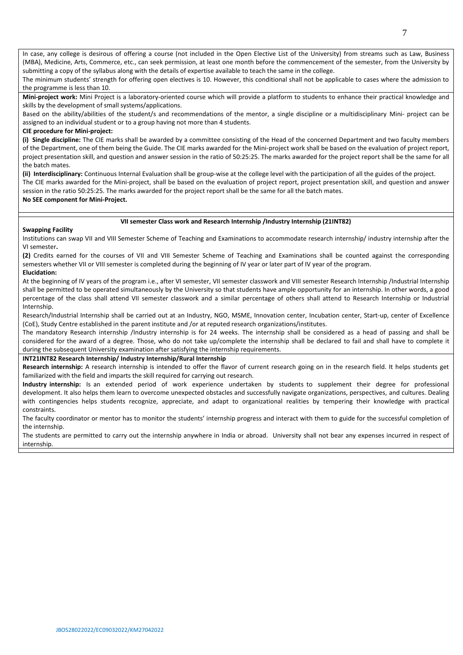In case, any college is desirous of offering a course (not included in the Open Elective List of the University) from streams such as Law, Business (MBA), Medicine, Arts, Commerce, etc., can seek permission, at least one month before the commencement of the semester, from the University by submitting a copy of the syllabus along with the details of expertise available to teach the same in the college.

The minimum students' strength for offering open electives is 10. However, this conditional shall not be applicable to cases where the admission to the programme is less than 10.

**Mini-project work:** Mini Project is a laboratory-oriented course which will provide a platform to students to enhance their practical knowledge and skills by the development of small systems/applications.

Based on the ability/abilities of the student/s and recommendations of the mentor, a single discipline or a multidisciplinary Mini- project can be assigned to an individual student or to a group having not more than 4 students.

### **CIE procedure for Mini-project:**

**(i) Single discipline:** The CIE marks shall be awarded by a committee consisting of the Head of the concerned Department and two faculty members of the Department, one of them being the Guide. The CIE marks awarded for the Mini-project work shall be based on the evaluation of project report, project presentation skill, and question and answer session in the ratio of 50:25:25. The marks awarded for the project report shall be the same for all the batch mates.

**(ii) Interdisciplinary:** Continuous Internal Evaluation shall be group-wise at the college level with the participation of all the guides of the project. The CIE marks awarded for the Mini-project, shall be based on the evaluation of project report, project presentation skill, and question and answer session in the ratio 50:25:25. The marks awarded for the project report shall be the same for all the batch mates.

### **No SEE component for Mini-Project.**

### **VII semester Class work and Research Internship /Industry Internship (21INT82)**

### **Swapping Facility**

Institutions can swap VII and VIII Semester Scheme of Teaching and Examinations to accommodate research internship/ industry internship after the VI semester**.** 

**(2)** Credits earned for the courses of VII and VIII Semester Scheme of Teaching and Examinations shall be counted against the corresponding semesters whether VII or VIII semester is completed during the beginning of IV year or later part of IV year of the program. **Elucidation:**

At the beginning of IV years of the program i.e., after VI semester, VII semester classwork and VIII semester Research Internship /Industrial Internship shall be permitted to be operated simultaneously by the University so that students have ample opportunity for an internship. In other words, a good percentage of the class shall attend VII semester classwork and a similar percentage of others shall attend to Research Internship or Industrial Internship.

Research/Industrial Internship shall be carried out at an Industry, NGO, MSME, Innovation center, Incubation center, Start-up, center of Excellence (CoE), Study Centre established in the parent institute and /or at reputed research organizations/institutes.

The mandatory Research internship /Industry internship is for 24 weeks. The internship shall be considered as a head of passing and shall be considered for the award of a degree. Those, who do not take up/complete the internship shall be declared to fail and shall have to complete it during the subsequent University examination after satisfying the internship requirements.

### **INT21INT82 Research Internship/ Industry Internship/Rural Internship**

**Research internship:** A research internship is intended to offer the flavor of current research going on in the research field. It helps students get familiarized with the field and imparts the skill required for carrying out research.

**Industry internship:** Is an extended period of work experience undertaken by students to supplement their degree for professional development. It also helps them learn to overcome unexpected obstacles and successfully navigate organizations, perspectives, and cultures. Dealing with contingencies helps students recognize, appreciate, and adapt to organizational realities by tempering their knowledge with practical constraints.

The faculty coordinator or mentor has to monitor the students' internship progress and interact with them to guide for the successful completion of the internship.

The students are permitted to carry out the internship anywhere in India or abroad. University shall not bear any expenses incurred in respect of internship.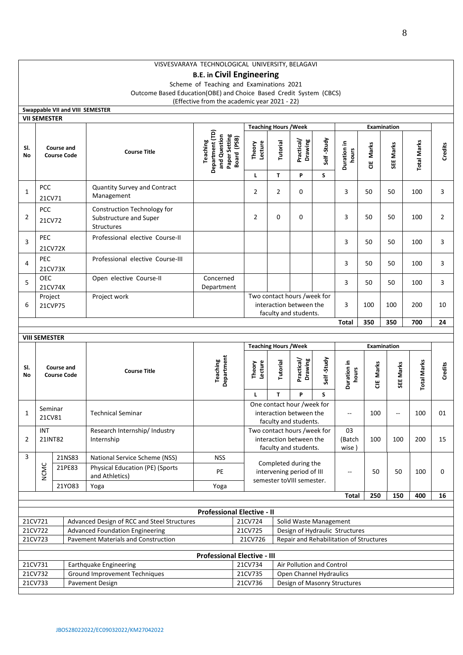# **B.E. in Civil Engineering**

Scheme of Teaching and Examinations 2021 Outcome Based Education(OBE) and Choice Based Credit System (CBCS) (Effective from the academic year 2021 - 22)

|           |                                         |                  | Swappable VII and VIII SEMESTER                                                           |                                                                                    |                        |                                                                                 |                                                                                 |                 |                       |           |                          |                    |                |
|-----------|-----------------------------------------|------------------|-------------------------------------------------------------------------------------------|------------------------------------------------------------------------------------|------------------------|---------------------------------------------------------------------------------|---------------------------------------------------------------------------------|-----------------|-----------------------|-----------|--------------------------|--------------------|----------------|
|           | <b>VII SEMESTER</b>                     |                  |                                                                                           |                                                                                    |                        | <b>Teaching Hours / Week</b>                                                    |                                                                                 |                 |                       |           | Examination              |                    |                |
| SI.<br>No | Course and<br><b>Course Code</b>        |                  | <b>Course Title</b>                                                                       | Department (TD)<br>Paper Setting<br>Board (PSB)<br>and Question<br><b>Teaching</b> | Lecture<br>Theory<br>г | Tutorial<br>T                                                                   | Practical/<br>Drawing<br>P                                                      | Self-Study<br>S | Duration in<br>hours  | CIE Marks | SEE Marks                | <b>Total Marks</b> | Credits        |
| 1         | <b>PCC</b><br>21CV71                    |                  | Quantity Survey and Contract<br>Management                                                |                                                                                    | $\overline{2}$         | 2                                                                               | 0                                                                               |                 | 3                     | 50        | 50                       | 100                | 3              |
| 2         | <b>PCC</b><br>21CV72                    |                  | Construction Technology for<br>Substructure and Super<br>Structures                       |                                                                                    | $\overline{2}$         | 0                                                                               | 0                                                                               |                 | 3                     | 50        | 50                       | 100                | $\overline{2}$ |
| 3         | <b>PEC</b><br>21CV72X                   |                  | Professional elective Course-II                                                           |                                                                                    |                        |                                                                                 |                                                                                 |                 | 3                     | 50        | 50                       | 100                | 3              |
| 4         | PEC<br>21CV73X                          |                  | Professional elective Course-III                                                          |                                                                                    |                        |                                                                                 |                                                                                 |                 | 3                     | 50        | 50                       | 100                | 3              |
| 5         | <b>OEC</b><br>21CV74X                   |                  | Open elective Course-II                                                                   | Concerned<br>Department                                                            |                        |                                                                                 |                                                                                 |                 | 3                     | 50        | 50                       | 100                | 3              |
| 6         | Project<br>21CVP75                      |                  | Project work                                                                              |                                                                                    |                        | Two contact hours /week for<br>interaction between the<br>faculty and students. |                                                                                 |                 | 3                     | 100       | 100                      | 200                | 10             |
|           |                                         |                  |                                                                                           |                                                                                    |                        |                                                                                 |                                                                                 |                 | <b>Total</b>          | 350       | 350                      | 700                | 24             |
|           | <b>VIII SEMESTER</b>                    |                  |                                                                                           |                                                                                    |                        |                                                                                 |                                                                                 |                 |                       |           |                          |                    |                |
|           |                                         |                  |                                                                                           | <b>Teaching Hours / Week</b>                                                       |                        |                                                                                 |                                                                                 |                 | <b>Examination</b>    |           |                          |                    |                |
| SI.<br>No | <b>Course and</b><br><b>Course Code</b> |                  | <b>Course Title</b>                                                                       | Department<br>Teaching                                                             | Lecture<br>Theory      | Tutorial                                                                        | Practical/<br>Drawing                                                           | Self-Study      | Duration in<br>hours  | CIE Marks | SEE Marks                | <b>Total Marks</b> | <b>Credits</b> |
|           |                                         |                  |                                                                                           |                                                                                    | L                      | T                                                                               | P                                                                               | S               |                       |           |                          |                    |                |
| 1         | Seminar<br>21CV81                       |                  | <b>Technical Seminar</b>                                                                  |                                                                                    |                        |                                                                                 | One contact hour /week for<br>interaction between the<br>faculty and students.  |                 | $\mathbf{u}$          | 100       | $\overline{\phantom{a}}$ | 100                | 01             |
| 2         | INT<br>21INT82                          |                  | Research Internship/ Industry<br>Internship                                               |                                                                                    |                        |                                                                                 | Two contact hours /week for<br>interaction between the<br>faculty and students. |                 | 03<br>(Batch<br>wise) | 100       | 100                      | 200                | 15             |
| 3         |                                         | 21NS83<br>21PE83 | National Service Scheme (NSS)<br><b>Physical Education (PE) (Sports</b><br>and Athletics) | NSS.<br>PE                                                                         |                        |                                                                                 | Completed during the<br>intervening period of III                               |                 |                       | 50        | 50                       | 100                | 0              |
|           | <b>NCMC</b>                             | 21YO83           | Yoga                                                                                      | Yoga                                                                               |                        |                                                                                 | semester toVIII semester.                                                       |                 |                       |           |                          |                    |                |
|           |                                         |                  |                                                                                           |                                                                                    |                        |                                                                                 |                                                                                 |                 | <b>Total</b>          | 250       | 150                      | 400                | 16             |
|           |                                         |                  |                                                                                           |                                                                                    |                        |                                                                                 |                                                                                 |                 |                       |           |                          |                    |                |
| 21CV721   |                                         |                  | Advanced Design of RCC and Steel Structures                                               | <b>Professional Elective - II</b>                                                  | 21CV724                |                                                                                 | Solid Waste Management                                                          |                 |                       |           |                          |                    |                |
|           | 21CV722                                 |                  | <b>Advanced Foundation Engineering</b>                                                    |                                                                                    | 21CV725                |                                                                                 | Design of Hydraulic Structures                                                  |                 |                       |           |                          |                    |                |
|           | 21CV723                                 |                  | <b>Pavement Materials and Construction</b>                                                |                                                                                    | 21CV726                |                                                                                 | Repair and Rehabilitation of Structures                                         |                 |                       |           |                          |                    |                |
|           |                                         |                  |                                                                                           | <b>Professional Elective - III</b>                                                 |                        |                                                                                 |                                                                                 |                 |                       |           |                          |                    |                |
|           | 21CV731                                 |                  | Earthquake Engineering                                                                    |                                                                                    | 21CV734                |                                                                                 | Air Pollution and Control                                                       |                 |                       |           |                          |                    |                |
| 21CV733   | 21CV732                                 |                  | <b>Ground Improvement Techniques</b>                                                      |                                                                                    | 21CV735<br>21CV736     |                                                                                 | Open Channel Hydraulics<br>Design of Masonry Structures                         |                 |                       |           |                          |                    |                |